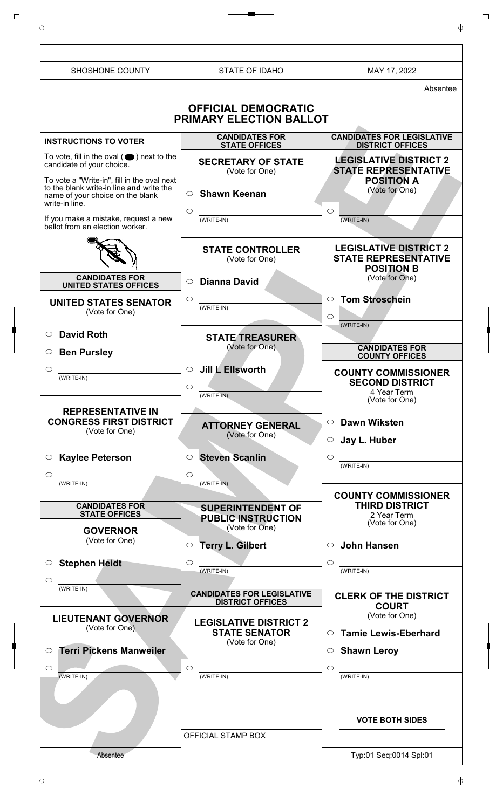| SHOSHONE COUNTY                                                                                                               | <b>STATE OF IDAHO</b>                                                   | MAY 17, 2022                                                                      |
|-------------------------------------------------------------------------------------------------------------------------------|-------------------------------------------------------------------------|-----------------------------------------------------------------------------------|
|                                                                                                                               |                                                                         | Absentee                                                                          |
|                                                                                                                               | <b>OFFICIAL DEMOCRATIC</b><br>PRIMARY ELECTION BALLOT                   |                                                                                   |
| <b>INSTRUCTIONS TO VOTER</b>                                                                                                  | <b>CANDIDATES FOR</b><br><b>STATE OFFICES</b>                           | <b>CANDIDATES FOR LEGISLATIVE</b><br><b>DISTRICT OFFICES</b>                      |
| To vote, fill in the oval $(\bullet)$ next to the<br>candidate of your choice.<br>To vote a "Write-in", fill in the oval next | <b>SECRETARY OF STATE</b><br>(Vote for One)                             | <b>LEGISLATIVE DISTRICT 2</b><br><b>STATE REPRESENTATIVE</b><br><b>POSITION A</b> |
| to the blank write-in line and write the<br>name of your choice on the blank<br>write-in line.                                | <b>Shawn Keenan</b><br>$\circ$<br>$\circ$                               | (Vote for One)<br>$\circ$                                                         |
| If you make a mistake, request a new<br>ballot from an election worker.                                                       | (WRITE-IN)                                                              | (WRITE-IN)                                                                        |
|                                                                                                                               | <b>STATE CONTROLLER</b><br>(Vote for One)                               | <b>LEGISLATIVE DISTRICT 2</b><br><b>STATE REPRESENTATIVE</b><br><b>POSITION B</b> |
| <b>CANDIDATES FOR</b><br><b>UNITED STATES OFFICES</b>                                                                         | <b>Dianna David</b><br>$\circ$                                          | (Vote for One)                                                                    |
| <b>UNITED STATES SENATOR</b><br>(Vote for One)                                                                                | $\circ$<br>(WRITE-IN)                                                   | <b>Tom Stroschein</b><br>$\circ$<br>$\circ$<br>(WRITE-IN)                         |
| <b>David Roth</b><br>$\circ$                                                                                                  | <b>STATE TREASURER</b>                                                  |                                                                                   |
| <b>Ben Pursley</b><br>$\circlearrowright$                                                                                     | (Vote for One)                                                          | <b>CANDIDATES FOR</b><br><b>COUNTY OFFICES</b>                                    |
| C<br>(WRITE-IN)                                                                                                               | Jill L Ellsworth<br>$\circ$                                             | <b>COUNTY COMMISSIONER</b>                                                        |
|                                                                                                                               | O<br>(WRITE-IN)                                                         | <b>SECOND DISTRICT</b><br>4 Year Term                                             |
| <b>REPRESENTATIVE IN</b>                                                                                                      |                                                                         | (Vote for One)                                                                    |
| <b>CONGRESS FIRST DISTRICT</b><br>(Vote for One)                                                                              | <b>ATTORNEY GENERAL</b><br>(Vote for One)                               | <b>Dawn Wiksten</b><br>$\circ$<br>Jay L. Huber<br>$\circ$                         |
| ○ Kaylee Peterson                                                                                                             | $\circ$ Steven Scanlin                                                  | $\circ$<br>$(WRITE-IN)$                                                           |
| $\circ$<br>$(WRITE-IN)$                                                                                                       | $\circ$<br>(WRITE-IN)                                                   |                                                                                   |
| <b>CANDIDATES FOR</b><br><b>STATE OFFICES</b>                                                                                 | <b>SUPERINTENDENT OF</b>                                                | <b>COUNTY COMMISSIONER</b><br><b>THIRD DISTRICT</b><br>2 Year Term                |
| <b>GOVERNOR</b>                                                                                                               | <b>PUBLIC INSTRUCTION</b><br>(Vote for One)                             | (Vote for One)                                                                    |
| (Vote for One)                                                                                                                | <b>Terry L. Gilbert</b><br>$\circ$                                      | <b>John Hansen</b><br>$\bigcirc$                                                  |
| <b>Stephen Heidt</b><br>$\circ$                                                                                               | $\circ$                                                                 | $\circ$<br>(WRITE-IN)                                                             |
| $\circ$                                                                                                                       | (WRITE-IN)                                                              |                                                                                   |
| (WRITE-IN)                                                                                                                    | <b>CANDIDATES FOR LEGISLATIVE</b><br><b>DISTRICT OFFICES</b>            | <b>CLERK OF THE DISTRICT</b><br><b>COURT</b>                                      |
| <b>LIEUTENANT GOVERNOR</b><br>(Vote for One)                                                                                  | <b>LEGISLATIVE DISTRICT 2</b><br><b>STATE SENATOR</b><br>(Vote for One) | (Vote for One)<br><b>Tamie Lewis-Eberhard</b><br>$\circ$                          |
| <b>Terri Pickens Manweiler</b><br>$\circ$                                                                                     |                                                                         | $\circ$ Shawn Leroy                                                               |
| $\circ$<br>(WRITE-IN)                                                                                                         | $\circ$<br>(WRITE-IN)                                                   | $\circ$<br>(WRITE-IN)                                                             |
|                                                                                                                               |                                                                         |                                                                                   |
|                                                                                                                               | OFFICIAL STAMP BOX                                                      | <b>VOTE BOTH SIDES</b>                                                            |
| Absentee                                                                                                                      |                                                                         | Typ:01 Seq:0014 Spl:01                                                            |
|                                                                                                                               |                                                                         |                                                                                   |

 $\mathord{\parallel}$ 

 $\overline{\mathbb{F}}$ 

 $\begin{array}{c} \n \downarrow \\ \n \downarrow \\ \n \downarrow \n \end{array}$ 

 $\downarrow$ 

 $\overline{\phantom{a}}$ 

 $\overline{\Phi}$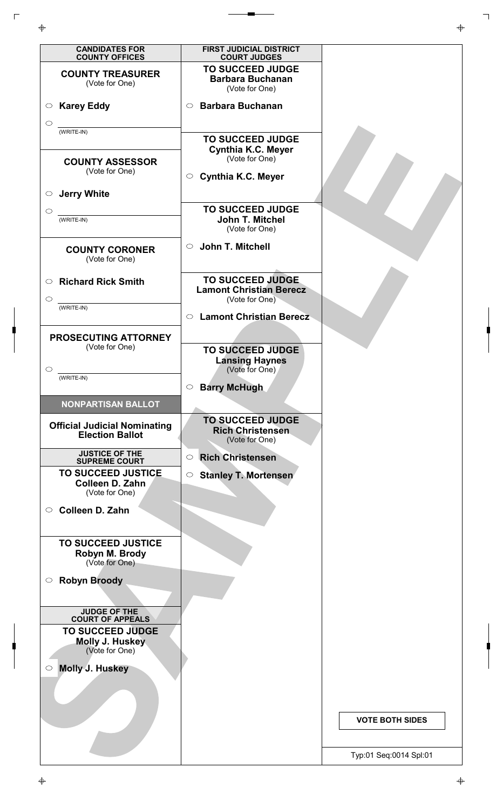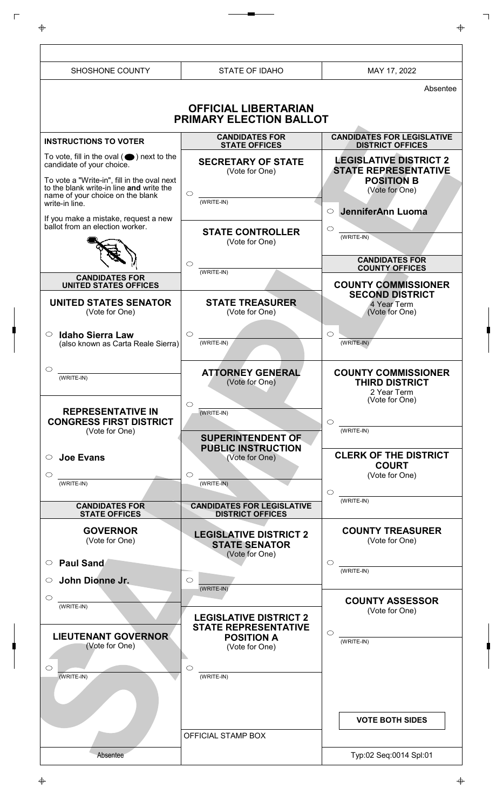| SHOSHONE COUNTY                                                                                                                                                              | <b>STATE OF IDAHO</b>                                                   | MAY 17, 2022                                                                                        |
|------------------------------------------------------------------------------------------------------------------------------------------------------------------------------|-------------------------------------------------------------------------|-----------------------------------------------------------------------------------------------------|
|                                                                                                                                                                              |                                                                         | Absentee                                                                                            |
|                                                                                                                                                                              | <b>OFFICIAL LIBERTARIAN</b>                                             |                                                                                                     |
|                                                                                                                                                                              | PRIMARY ELECTION BALLOT                                                 |                                                                                                     |
| <b>INSTRUCTIONS TO VOTER</b>                                                                                                                                                 | <b>CANDIDATES FOR</b><br><b>STATE OFFICES</b>                           | <b>CANDIDATES FOR LEGISLATIVE</b><br><b>DISTRICT OFFICES</b>                                        |
| To vote, fill in the oval $($ $\bullet)$ next to the<br>candidate of your choice.<br>To vote a "Write-in", fill in the oval next<br>to the blank write-in line and write the | <b>SECRETARY OF STATE</b><br>(Vote for One)<br>$\circ$                  | <b>LEGISLATIVE DISTRICT 2</b><br><b>STATE REPRESENTATIVE</b><br><b>POSITION B</b><br>(Vote for One) |
| name of your choice on the blank<br>write-in line.<br>If you make a mistake, request a new                                                                                   | (WRITE-IN)                                                              | JenniferAnn Luoma<br>$\circ$                                                                        |
| ballot from an election worker.                                                                                                                                              | <b>STATE CONTROLLER</b><br>(Vote for One)                               | $\circ$<br>(WRITE-IN)                                                                               |
|                                                                                                                                                                              | $\circ$<br>(WRITE-IN)                                                   | <b>CANDIDATES FOR</b><br><b>COUNTY OFFICES</b>                                                      |
| <b>CANDIDATES FOR</b><br><b>UNITED STATES OFFICES</b>                                                                                                                        |                                                                         | <b>COUNTY COMMISSIONER</b>                                                                          |
| <b>UNITED STATES SENATOR</b><br>(Vote for One)                                                                                                                               | <b>STATE TREASURER</b><br>(Vote for One)                                | <b>SECOND DISTRICT</b><br>4 Year Term<br>(Vote for One)                                             |
| $\circ$<br><b>Idaho Sierra Law</b><br>(also known as Carta Reale Sierra)                                                                                                     | $\circ$<br>(WRITE-IN)                                                   | $\circ$<br>(WRITE-IN)                                                                               |
| ◯<br>(WRITE-IN)                                                                                                                                                              | <b>ATTORNEY GENERAL</b><br>(Vote for One)                               | <b>COUNTY COMMISSIONER</b><br><b>THIRD DISTRICT</b><br>2 Year Term                                  |
| <b>REPRESENTATIVE IN</b><br><b>CONGRESS FIRST DISTRICT</b>                                                                                                                   | $\circ$<br>(WRITE-IN)                                                   | (Vote for One)<br>$\circ$                                                                           |
| (Vote for One)                                                                                                                                                               | <b>SUPERINTENDENT OF</b>                                                | (WRITE-IN)                                                                                          |
| <b>Joe Evans</b><br>O                                                                                                                                                        | <b>PUBLIC INSTRUCTION</b><br>(Vote for One)                             | <b>CLERK OF THE DISTRICT</b><br><b>COURT</b>                                                        |
| $\circlearrowright$<br>(WRITE-IN)                                                                                                                                            | $\circ$<br>(WRITE-IN)                                                   | (Vote for One)<br>$\circ$                                                                           |
| <b>CANDIDATES FOR</b><br><b>STATE OFFICES</b>                                                                                                                                | <b>CANDIDATES FOR LEGISLATIVE</b><br><b>DISTRICT OFFICES</b>            | (WRITE-IN)                                                                                          |
| <b>GOVERNOR</b><br>(Vote for One)                                                                                                                                            | <b>LEGISLATIVE DISTRICT 2</b><br><b>STATE SENATOR</b><br>(Vote for One) | <b>COUNTY TREASURER</b><br>(Vote for One)                                                           |
| <b>Paul Sand</b><br>$\circ$                                                                                                                                                  |                                                                         | ◯<br>(WRITE-IN)                                                                                     |
| John Dionne Jr.<br>$\circ$                                                                                                                                                   | $\circ$<br>(WRITE-IN)                                                   |                                                                                                     |
| $\circlearrowright$<br>(WRITE-IN)                                                                                                                                            | <b>LEGISLATIVE DISTRICT 2</b><br><b>STATE REPRESENTATIVE</b>            | <b>COUNTY ASSESSOR</b><br>(Vote for One)                                                            |
| <b>LIEUTENANT GOVERNOR</b><br>(Vote for One)                                                                                                                                 | <b>POSITION A</b><br>(Vote for One)                                     | $\bigcirc$<br>(WRITE-IN)                                                                            |
| $\bigcirc$<br>$(WRITE-IN)$                                                                                                                                                   | $\circlearrowright$<br>(WRITE-IN)                                       |                                                                                                     |
|                                                                                                                                                                              |                                                                         | <b>VOTE BOTH SIDES</b>                                                                              |
|                                                                                                                                                                              | OFFICIAL STAMP BOX                                                      |                                                                                                     |
| Absentee                                                                                                                                                                     |                                                                         | Typ:02 Seq:0014 Spl:01                                                                              |

 $\mathord{\parallel}$ 

 $\overline{\mathbb{F}}$ 

 $\begin{array}{c} \n \downarrow \\ \n \downarrow \\ \n \downarrow \n \end{array}$ 

 $\downarrow$ 

 $\overline{\phantom{a}}$ 

 $\overline{\Phi}$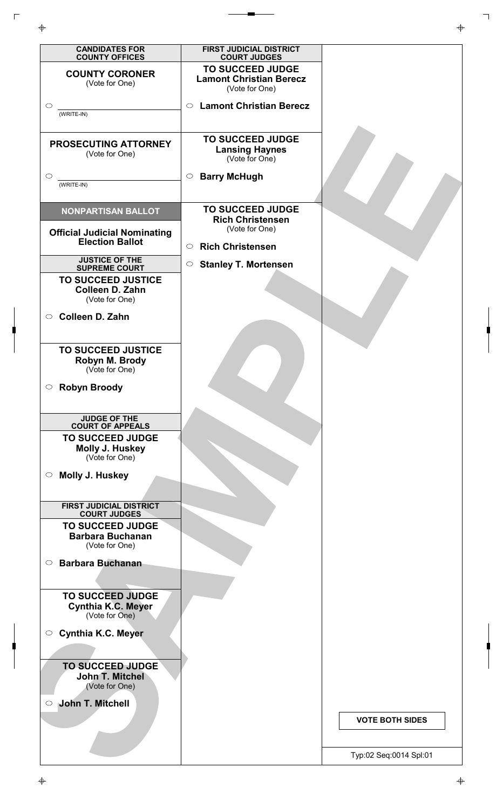| <b>CANDIDATES FOR</b><br><b>COUNTY OFFICES</b>                         | FIRST JUDICIAL DISTRICT<br><b>COURT JUDGES</b>                              |                        |
|------------------------------------------------------------------------|-----------------------------------------------------------------------------|------------------------|
| <b>COUNTY CORONER</b><br>(Vote for One)                                | <b>TO SUCCEED JUDGE</b><br><b>Lamont Christian Berecz</b><br>(Vote for One) |                        |
| $\circ$<br>(WRITE-IN)                                                  | <b>Lamont Christian Berecz</b><br>$\circ$                                   |                        |
| PROSECUTING ATTORNEY<br>(Vote for One)                                 | <b>TO SUCCEED JUDGE</b><br><b>Lansing Haynes</b><br>(Vote for One)          |                        |
| $\circ$<br>(WRITE-IN)                                                  | <b>Barry McHugh</b><br>$\circ$                                              |                        |
| <b>NONPARTISAN BALLOT</b>                                              | <b>TO SUCCEED JUDGE</b><br><b>Rich Christensen</b><br>(Vote for One)        |                        |
| <b>Official Judicial Nominating</b><br><b>Election Ballot</b>          | <b>Rich Christensen</b><br>$\bigcirc$                                       |                        |
| <b>JUSTICE OF THE</b><br><b>SUPREME COURT</b>                          | <b>Stanley T. Mortensen</b><br>$\circ$                                      |                        |
| <b>TO SUCCEED JUSTICE</b><br>Colleen D. Zahn<br>(Vote for One)         |                                                                             |                        |
| <b>Colleen D. Zahn</b><br>$\circ$                                      |                                                                             |                        |
| <b>TO SUCCEED JUSTICE</b><br>Robyn M. Brody<br>(Vote for One)          |                                                                             |                        |
| ○ Robyn Broody                                                         |                                                                             |                        |
| <b>JUDGE OF THE</b><br><b>COURT OF APPEALS</b>                         |                                                                             |                        |
| <b>TO SUCCEED JUDGE</b><br>Molly J. Huskey<br>(Vote for One)           |                                                                             |                        |
| Molly J. Huskey<br>$\circ$                                             |                                                                             |                        |
|                                                                        |                                                                             |                        |
| <b>FIRST JUDICIAL DISTRICT</b><br><b>COURT JUDGES</b>                  |                                                                             |                        |
| <b>TO SUCCEED JUDGE</b><br><b>Barbara Buchanan</b><br>(Vote for One)   |                                                                             |                        |
| <b>Barbara Buchanan</b><br>$\circ$                                     |                                                                             |                        |
|                                                                        |                                                                             |                        |
| <b>TO SUCCEED JUDGE</b><br><b>Cynthia K.C. Meyer</b><br>(Vote for One) |                                                                             |                        |
| <b>Cynthia K.C. Meyer</b><br>$\circ$                                   |                                                                             |                        |
| <b>TO SUCCEED JUDGE</b><br>John T. Mitchel<br>(Vote for One)           |                                                                             |                        |
| John T. Mitchell<br>$\circ$                                            |                                                                             | <b>VOTE BOTH SIDES</b> |
|                                                                        |                                                                             | Tvp:02 Seg:0014 Spl:01 |

 $\Gamma$ 

 $\ddot{\Phi}$ 

٦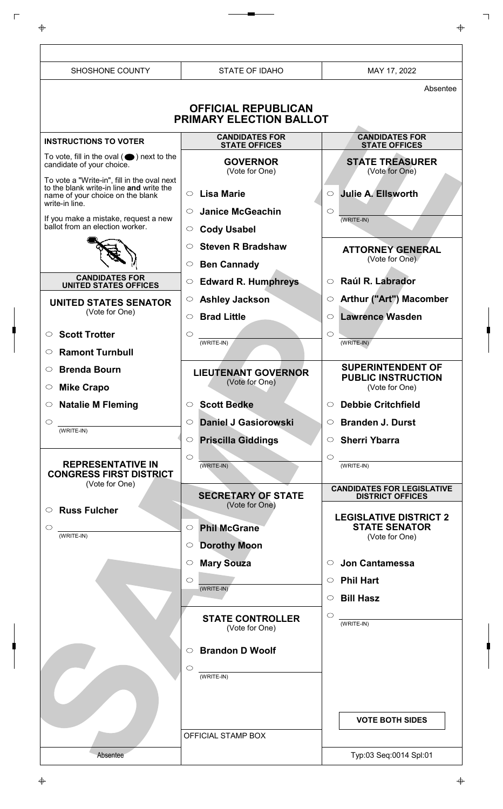| SHOSHONE COUNTY                                                                                                                  | <b>STATE OF IDAHO</b>                                                | MAY 17, 2022                                                            |
|----------------------------------------------------------------------------------------------------------------------------------|----------------------------------------------------------------------|-------------------------------------------------------------------------|
|                                                                                                                                  |                                                                      | Absentee                                                                |
|                                                                                                                                  | <b>OFFICIAL REPUBLICAN</b><br><b>PRIMARY ELECTION BALLOT</b>         |                                                                         |
| <b>INSTRUCTIONS TO VOTER</b>                                                                                                     | <b>CANDIDATES FOR</b><br><b>STATE OFFICES</b>                        | <b>CANDIDATES FOR</b><br><b>STATE OFFICES</b>                           |
| To vote, fill in the oval $($ $\bullet)$ next to the<br>candidate of your choice.<br>To vote a "Write-in", fill in the oval next | <b>GOVERNOR</b><br>(Vote for One)                                    | <b>STATE TREASURER</b><br>(Vote for One)                                |
| to the blank write-in line and write the<br>name of your choice on the blank<br>write-in line.                                   | $\circ$ Lisa Marie                                                   | <b>Julie A. Ellsworth</b><br>$\circ$                                    |
| If you make a mistake, request a new<br>ballot from an election worker.                                                          | <b>Janice McGeachin</b><br>$\circ$<br><b>Cody Usabel</b><br>$\circ$  | $\circ$<br>(WRITE-IN)                                                   |
|                                                                                                                                  | <b>Steven R Bradshaw</b><br>$\circ$<br><b>Ben Cannady</b><br>$\circ$ | <b>ATTORNEY GENERAL</b><br>(Vote for One)                               |
| <b>CANDIDATES FOR</b><br><b>UNITED STATES OFFICES</b>                                                                            | <b>Edward R. Humphreys</b><br>$\circ$                                | Raúl R. Labrador<br>$\circ$                                             |
| <b>UNITED STATES SENATOR</b><br>(Vote for One)                                                                                   | <b>Ashley Jackson</b><br>$\circ$<br><b>Brad Little</b><br>$\circ$    | Arthur ("Art") Macomber<br>$\circ$<br><b>Lawrence Wasden</b><br>$\circ$ |
| <b>Scott Trotter</b><br>$\circ$                                                                                                  | $\circ$<br>(WRITE-IN)                                                | $\circ$<br>(WRITE-IN)                                                   |
| <b>Ramont Turnbull</b><br>$\circ$<br><b>Brenda Bourn</b><br>$\circ$                                                              | <b>LIEUTENANT GOVERNOR</b>                                           | <b>SUPERINTENDENT OF</b>                                                |
| $\circ$ Mike Crapo                                                                                                               | (Vote for One)                                                       | <b>PUBLIC INSTRUCTION</b><br>(Vote for One)                             |
| $\circ$ Natalie M Fleming                                                                                                        | <b>Scott Bedke</b><br>$\circ$                                        | <b>Debbie Critchfield</b><br>$\circ$                                    |
| $\circ$<br>$(WRITE-IN)$                                                                                                          | <b>Daniel J Gasiorowski</b><br>$\circ$                               | $\circ$ Branden J. Durst                                                |
| <b>REPRESENTATIVE IN</b><br><b>CONGRESS FIRST DISTRICT</b>                                                                       | <b>Priscilla Giddings</b><br>$\circ$<br>$\circ$<br>$(WRITE-IN)$      | Sherri Ybarra<br>$\circ$<br>$(WRITE-IN)$                                |
| (Vote for One)                                                                                                                   | <b>SECRETARY OF STATE</b><br>(Vote for One)                          | <b>CANDIDATES FOR LEGISLATIVE</b><br><b>DISTRICT OFFICES</b>            |
| <b>Russ Fulcher</b><br>$\circ$<br>$\circlearrowright$<br>$(WRITE-IN)$                                                            | <b>Phil McGrane</b><br>$\circ$                                       | <b>LEGISLATIVE DISTRICT 2</b><br><b>STATE SENATOR</b><br>(Vote for One) |
|                                                                                                                                  | <b>Dorothy Moon</b><br>$\circ$                                       |                                                                         |
|                                                                                                                                  | <b>Mary Souza</b><br>$\circ$                                         | <b>Jon Cantamessa</b><br>$\circ$                                        |
|                                                                                                                                  | $\circ$<br>(WRITE-IN)                                                | $\circ$ Phil Hart<br>$\circ$ Bill Hasz                                  |
|                                                                                                                                  | <b>STATE CONTROLLER</b><br>(Vote for One)                            | $\circ$<br>$(WRITE-IN)$                                                 |
|                                                                                                                                  | <b>Brandon D Woolf</b><br>$\circ$<br>$\circ$                         |                                                                         |
|                                                                                                                                  | (WRITE-IN)                                                           |                                                                         |
|                                                                                                                                  | OFFICIAL STAMP BOX                                                   | <b>VOTE BOTH SIDES</b>                                                  |
| Absentee                                                                                                                         |                                                                      | Typ:03 Seq:0014 Spl:01                                                  |

 $\Box$ 

 $\ddot{\Phi}$ 

┑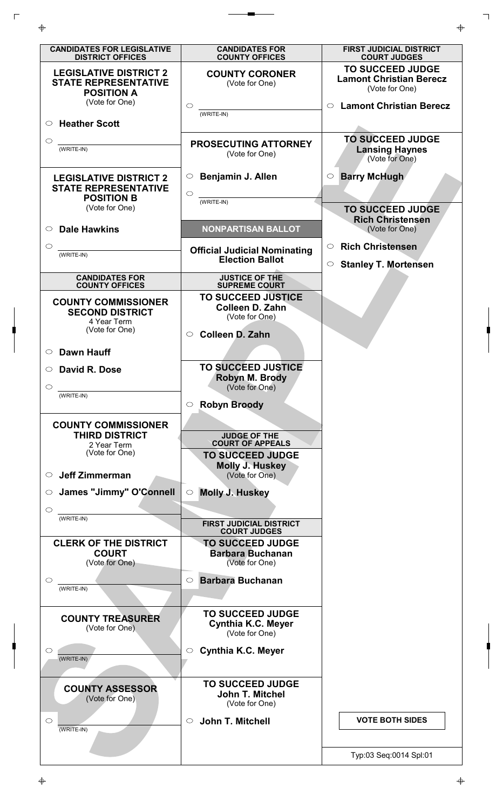

 $\Gamma$ 

┑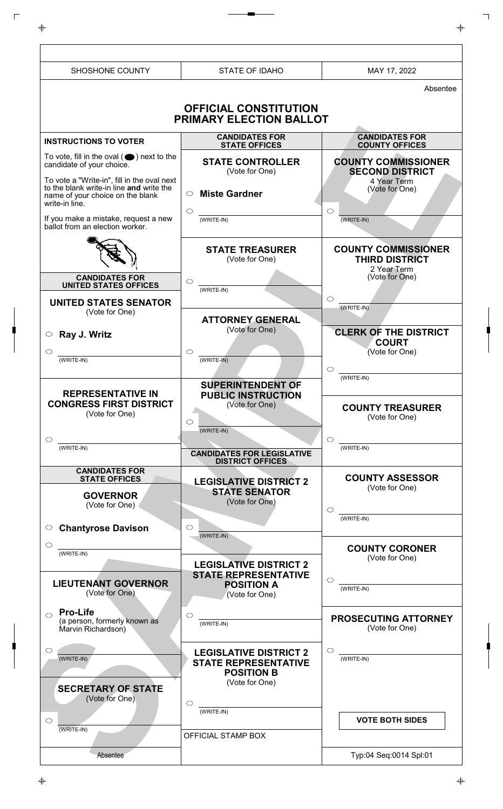| SHOSHONE COUNTY                                                                                                                  | <b>STATE OF IDAHO</b>                                                                               | MAY 17, 2022                                                       |
|----------------------------------------------------------------------------------------------------------------------------------|-----------------------------------------------------------------------------------------------------|--------------------------------------------------------------------|
|                                                                                                                                  |                                                                                                     | Absentee                                                           |
|                                                                                                                                  | <b>OFFICIAL CONSTITUTION</b><br><b>PRIMARY ELECTION BALLOT</b>                                      |                                                                    |
| <b>INSTRUCTIONS TO VOTER</b>                                                                                                     | <b>CANDIDATES FOR</b><br><b>STATE OFFICES</b>                                                       | <b>CANDIDATES FOR</b><br><b>COUNTY OFFICES</b>                     |
| To vote, fill in the oval $($ $\bullet)$ next to the<br>candidate of your choice.<br>To vote a "Write-in", fill in the oval next | <b>STATE CONTROLLER</b><br>(Vote for One)                                                           | <b>COUNTY COMMISSIONER</b><br><b>SECOND DISTRICT</b>               |
| to the blank write-in line and write the<br>name of your choice on the blank<br>write-in line.                                   | <b>Miste Gardner</b><br>$\circ$                                                                     | 4 Year Term<br>(Vote for One)                                      |
| If you make a mistake, request a new<br>ballot from an election worker.                                                          | $\circ$<br>(WRITE-IN)                                                                               | $\circ$<br>(WRITE-IN)                                              |
|                                                                                                                                  | <b>STATE TREASURER</b><br>(Vote for One)                                                            | <b>COUNTY COMMISSIONER</b><br><b>THIRD DISTRICT</b><br>2 Year Term |
| <b>CANDIDATES FOR</b><br><b>UNITED STATES OFFICES</b>                                                                            | $\circ$<br>(WRITE-IN)                                                                               | (Vote for One)                                                     |
| <b>UNITED STATES SENATOR</b><br>(Vote for One)                                                                                   |                                                                                                     | $\circ$<br>(WRITE-IN)                                              |
| Ray J. Writz<br>$\circ$                                                                                                          | <b>ATTORNEY GENERAL</b><br>(Vote for One)                                                           | <b>CLERK OF THE DISTRICT</b>                                       |
| $\circ$<br>(WRITE-IN)                                                                                                            | $\circ$<br>$(WRITE-IN)$                                                                             | <b>COURT</b><br>(Vote for One)<br>$\circ$                          |
| <b>REPRESENTATIVE IN</b><br><b>CONGRESS FIRST DISTRICT</b><br>(Vote for One)                                                     | <b>SUPERINTENDENT OF</b><br><b>PUBLIC INSTRUCTION</b><br>(Vote for One)<br>$\circ$<br>(WRITE-IN)    | (WRITE-IN)<br><b>COUNTY TREASURER</b><br>(Vote for One)            |
| $\circ$<br>(WRITE-IN)                                                                                                            | <b>CANDIDATES FOR LEGISLATIVE</b><br><b>DISTRICT OFFICES</b>                                        | $\circ$<br>(WRITE-IN)                                              |
| <b>CANDIDATES FOR</b><br><b>STATE OFFICES</b><br><b>GOVERNOR</b><br>(Vote for One)                                               | <b>LEGISLATIVE DISTRICT 2</b><br><b>STATE SENATOR</b><br>(Vote for One)                             | <b>COUNTY ASSESSOR</b><br>(Vote for One)<br>$\circlearrowright$    |
| <b>Chantyrose Davison</b><br>$\circ$                                                                                             | $\circ$<br>(WRITE-IN)                                                                               | $(WRITE-IN)$                                                       |
| $\circ$<br>(WRITE-IN)                                                                                                            |                                                                                                     | <b>COUNTY CORONER</b><br>(Vote for One)                            |
| <b>LIEUTENANT GOVERNOR</b><br>(Vote for One)                                                                                     | <b>LEGISLATIVE DISTRICT 2</b><br><b>STATE REPRESENTATIVE</b><br><b>POSITION A</b><br>(Vote for One) | $\circ$<br>(WRITE-IN)                                              |
| <b>Pro-Life</b><br>$\bigcirc$<br>(a person, formerly known as<br>Marvin Richardson)                                              | $\circlearrowright$<br>(WRITE-IN)                                                                   | <b>PROSECUTING ATTORNEY</b><br>(Vote for One)                      |
| $\circ$<br>(WRITE-IN)<br><b>SECRETARY OF STATE</b>                                                                               | <b>LEGISLATIVE DISTRICT 2</b><br><b>STATE REPRESENTATIVE</b><br><b>POSITION B</b><br>(Vote for One) | $\circlearrowright$<br>(WRITE-IN)                                  |
| (Vote for One)                                                                                                                   | $\circ$<br>(WRITE-IN)                                                                               |                                                                    |
| $\circ$<br>(WRITE-IN)                                                                                                            | OFFICIAL STAMP BOX                                                                                  | <b>VOTE BOTH SIDES</b>                                             |
| Absentee                                                                                                                         |                                                                                                     | Typ:04 Seq:0014 Spl:01                                             |

 $\mathord{\parallel}$ 

 $\overline{\mathbb{F}}$ 

 $\begin{array}{c} \n \downarrow \\ \n \downarrow \\ \n \downarrow \n \end{array}$ 

 $\downarrow$ 

 $\overline{\phantom{a}}$ 

 $\overline{\Phi}$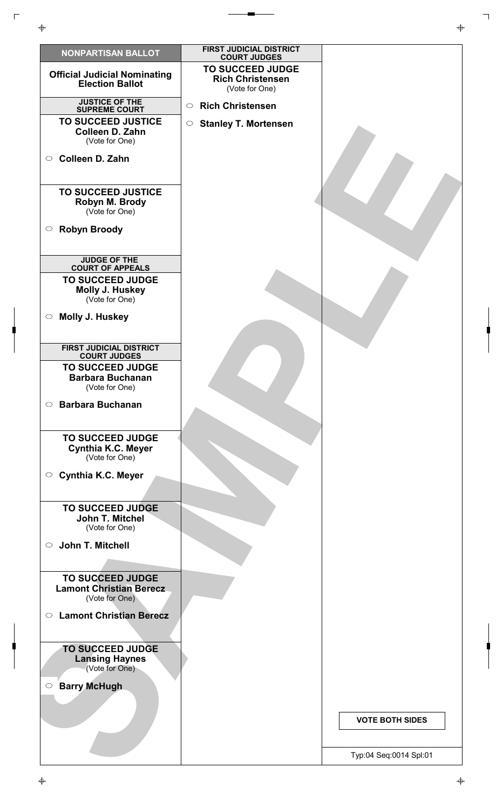| <b>NONPARTISAN BALLOT</b>                                                   | <b>FIRST JUDICIAL DISTRICT</b>                 |                        |
|-----------------------------------------------------------------------------|------------------------------------------------|------------------------|
|                                                                             | <b>COURT JUDGES</b><br><b>TO SUCCEED JUDGE</b> |                        |
| <b>Official Judicial Nominating</b><br><b>Election Ballot</b>               | <b>Rich Christensen</b><br>(Vote for One)      |                        |
| <b>JUSTICE OF THE</b><br><b>SUPREME COURT</b>                               | <b>Rich Christensen</b><br>$\circlearrowright$ |                        |
| <b>TO SUCCEED JUSTICE</b><br><b>Colleen D. Zahn</b><br>(Vote for One)       | <b>Stanley T. Mortensen</b><br>$\circ$         |                        |
| Colleen D. Zahn<br>$\circ$                                                  |                                                |                        |
| <b>TO SUCCEED JUSTICE</b><br>Robyn M. Brody<br>(Vote for One)               |                                                |                        |
| <b>Robyn Broody</b><br>$\circ$                                              |                                                |                        |
| <b>JUDGE OF THE</b><br><b>COURT OF APPEALS</b>                              |                                                |                        |
| <b>TO SUCCEED JUDGE</b><br>Molly J. Huskey<br>(Vote for One)                |                                                |                        |
| <b>Molly J. Huskey</b><br>$\circ$                                           |                                                |                        |
| <b>FIRST JUDICIAL DISTRICT</b><br><b>COURT JUDGES</b>                       |                                                |                        |
| <b>TO SUCCEED JUDGE</b><br><b>Barbara Buchanan</b><br>(Vote for One)        |                                                |                        |
| <b>Barbara Buchanan</b><br>$\circ$                                          |                                                |                        |
| <b>TO SUCCEED JUDGE</b><br><b>Cynthia K.C. Meyer</b><br>(Vote for One)      |                                                |                        |
| ○ Cynthia K.C. Meyer                                                        |                                                |                        |
| <b>TO SUCCEED JUDGE</b><br>John T. Mitchel<br>(Vote for One)                |                                                |                        |
| John T. Mitchell<br>$\circ$                                                 |                                                |                        |
| <b>TO SUCCEED JUDGE</b><br><b>Lamont Christian Berecz</b><br>(Vote for One) |                                                |                        |
| <b>Lamont Christian Berecz</b><br>$\circ$                                   |                                                |                        |
| <b>TO SUCCEED JUDGE</b><br><b>Lansing Haynes</b><br>(Vote for One)          |                                                |                        |
| <b>Barry McHugh</b><br>$\bigcirc$                                           |                                                |                        |
|                                                                             |                                                | <b>VOTE BOTH SIDES</b> |
|                                                                             |                                                | Typ:04 Seq:0014 Spl:01 |

 $\Box$ 

 $\ddot{\Phi}$ 

┑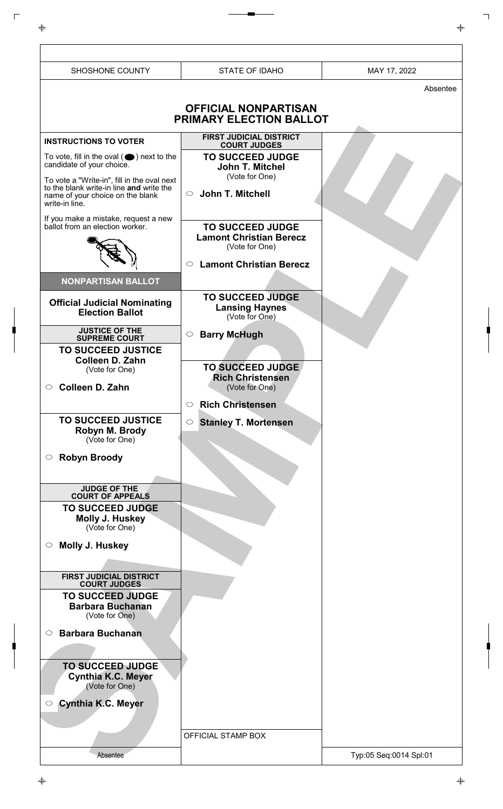SHOSHONE COUNTY STATE OF IDAHO NAY 17, 2022 Absentee **OFFICIAL NONPARTISAN PRIMARY ELECTION BALLOT** Absentee **INSTRUCTIONS TO VOTER** To vote, fill in the oval  $($   $\bigcirc$  ) next to the candidate of your choice. To vote a "Write-in", fill in the oval next to the blank write-in line **and** write the name of your choice on the blank write-in line. If you make a mistake, request a new ballot from an election worker. Typ:05 Seq:0014 Spl:01 OFFICIAL STAMP BOX **NONPARTISAN BALLOT Official Judicial Nominating Election Ballot JUSTICE OF THE SUPREME COURT TO SUCCEED JUSTICE Colleen D. Zahn** (Vote for One) **Colleen D. Zahn TO SUCCEED JUSTICE Robyn M. Brody** (Vote for One) **Robyn Broody JUDGE OF THE COURT OF APPEALS TO SUCCEED JUDGE Molly J. Huskey** (Vote for One) **Molly J. Huskey FIRST JUDICIAL DISTRICT COURT JUDGES TO SUCCEED JUDGE Barbara Buchanan** (Vote for One) **Barbara Buchanan TO SUCCEED JUDGE Cynthia K.C. Meyer** (Vote for One) **Cynthia K.C. Meyer FIRST JUDICIAL DISTRICT COURT JUDGES TO SUCCEED JUDGE John T. Mitchel** (Vote for One) **John T. Mitchell TO SUCCEED JUDGE Lamont Christian Berecz** (Vote for One) **Lamont Christian Berecz TO SUCCEED JUDGE Lansing Haynes** (Vote for One) **Barry McHugh TO SUCCEED JUDGE Rich Christensen** (Vote for One) **Rich Christensen Stanley T. Mortensen**

 $\Gamma$ 

 $\overline{\Phi}$ 

</u>